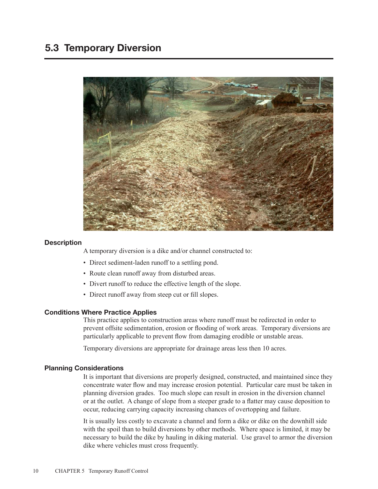

# **Description**

A temporary diversion is a dike and/or channel constructed to:

- Direct sediment-laden runoff to a settling pond.
- Route clean runoff away from disturbed areas.
- Divert runoff to reduce the effective length of the slope.
- Direct runoff away from steep cut or fill slopes.

# Conditions Where Practice Applies

This practice applies to construction areas where runoff must be redirected in order to prevent offsite sedimentation, erosion or flooding of work areas. Temporary diversions are particularly applicable to prevent flow from damaging erodible or unstable areas.

Temporary diversions are appropriate for drainage areas less then 10 acres.

# Planning Considerations

It is important that diversions are properly designed, constructed, and maintained since they concentrate water flow and may increase erosion potential. Particular care must be taken in planning diversion grades. Too much slope can result in erosion in the diversion channel or at the outlet. A change of slope from a steeper grade to a flatter may cause deposition to occur, reducing carrying capacity increasing chances of overtopping and failure.

It is usually less costly to excavate a channel and form a dike or dike on the downhill side with the spoil than to build diversions by other methods. Where space is limited, it may be necessary to build the dike by hauling in diking material. Use gravel to armor the diversion dike where vehicles must cross frequently.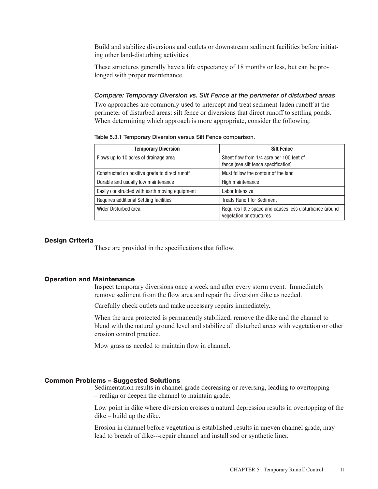Build and stabilize diversions and outlets or downstream sediment facilities before initiating other land-disturbing activities.

These structures generally have a life expectancy of 18 months or less, but can be prolonged with proper maintenance.

*Compare: Temporary Diversion vs. Silt Fence at the perimeter of disturbed areas* Two approaches are commonly used to intercept and treat sediment-laden runoff at the perimeter of disturbed areas: silt fence or diversions that direct runoff to settling ponds. When determining which approach is more appropriate, consider the following:

Table 5.3.1 Temporary Diversion versus Silt Fence comparison.

| <b>Temporary Diversion</b>                     | <b>Silt Fence</b>                                                                    |
|------------------------------------------------|--------------------------------------------------------------------------------------|
| Flows up to 10 acres of drainage area          | Sheet flow from 1/4 acre per 100 feet of<br>fence (see silt fence specification)     |
| Constructed on positive grade to direct runoff | Must follow the contour of the land                                                  |
| Durable and usually low maintenance            | High maintenance                                                                     |
| Easily constructed with earth moving equipment | Labor Intensive                                                                      |
| Requires additional Settling facilities        | <b>Treats Runoff for Sediment</b>                                                    |
| Wider Disturbed area.                          | Requires little space and causes less disturbance around<br>vegetation or structures |

#### Design Criteria

These are provided in the specifications that follow.

#### Operation and Maintenance

Inspect temporary diversions once a week and after every storm event. Immediately remove sediment from the flow area and repair the diversion dike as needed.

Carefully check outlets and make necessary repairs immediately.

When the area protected is permanently stabilized, remove the dike and the channel to blend with the natural ground level and stabilize all disturbed areas with vegetation or other erosion control practice.

Mow grass as needed to maintain flow in channel.

# Common Problems – Suggested Solutions

Sedimentation results in channel grade decreasing or reversing, leading to overtopping – realign or deepen the channel to maintain grade.

Low point in dike where diversion crosses a natural depression results in overtopping of the dike – build up the dike.

Erosion in channel before vegetation is established results in uneven channel grade, may lead to breach of dike---repair channel and install sod or synthetic liner.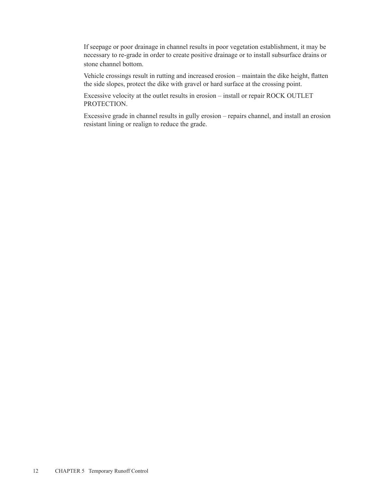If seepage or poor drainage in channel results in poor vegetation establishment, it may be necessary to re-grade in order to create positive drainage or to install subsurface drains or stone channel bottom.

Vehicle crossings result in rutting and increased erosion – maintain the dike height, flatten the side slopes, protect the dike with gravel or hard surface at the crossing point.

Excessive velocity at the outlet results in erosion – install or repair ROCK OUTLET PROTECTION.

Excessive grade in channel results in gully erosion – repairs channel, and install an erosion resistant lining or realign to reduce the grade.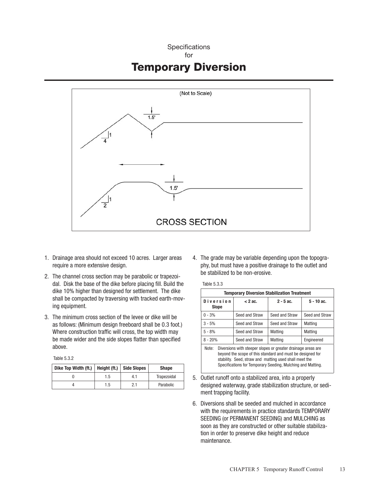# **Specifications** for Temporary Diversion



- 1. Drainage area should not exceed 10 acres. Larger areas require a more extensive design.
- 2. The channel cross section may be parabolic or trapezoidal. Disk the base of the dike before placing fill. Build the dike 10% higher than designed for settlement. The dike shall be compacted by traversing with tracked earth-moving equipment.
- 3. The minimum cross section of the levee or dike will be as follows: (Minimum design freeboard shall be 0.3 foot.) Where construction traffic will cross, the top width may be made wider and the side slopes flatter than specified above.

Table 5.3.2

| Dike Top Width (ft.) |     | Height (ft.)   Side Slopes | <b>Shape</b> |
|----------------------|-----|----------------------------|--------------|
|                      | l.5 | 4.1                        | Trapezoidal  |
|                      | .5  | 2.1                        | Parabolic    |

4. The grade may be variable depending upon the topography, but must have a positive drainage to the outlet and be stabilized to be non-erosive.

Table 5.3.3

| <b>Temporary Diversion Stabilization Treatment</b>                                                                                                                                                                                                           |                |                |                |  |
|--------------------------------------------------------------------------------------------------------------------------------------------------------------------------------------------------------------------------------------------------------------|----------------|----------------|----------------|--|
| <b>Diversion</b><br><b>Slope</b>                                                                                                                                                                                                                             | $< 2$ ac.      | $2 - 5$ ac.    | $5 - 10$ ac.   |  |
| $0 - 3%$                                                                                                                                                                                                                                                     | Seed and Straw | Seed and Straw | Seed and Straw |  |
| $3 - 5%$                                                                                                                                                                                                                                                     | Seed and Straw | Seed and Straw | Matting        |  |
| $5 - 8%$                                                                                                                                                                                                                                                     | Seed and Straw | Matting        | Matting        |  |
| $8 - 20%$                                                                                                                                                                                                                                                    | Seed and Straw | Matting        | Engineered     |  |
| Diversions with steeper slopes or greater drainage areas are<br>Note:<br>beyond the scope of this standard and must be designed for<br>stability. Seed, straw and matting used shall meet the<br>Specifications for Temporary Seeding, Mulching and Matting. |                |                |                |  |

- 5. Outlet runoff onto a stabilized area, into a properly designed waterway, grade stabilization structure, or sediment trapping facility.
- 6. Diversions shall be seeded and mulched in accordance with the requirements in practice standards TEMPORARY SEEDING (or PERMANENT SEEDING) and MULCHING as soon as they are constructed or other suitable stabilization in order to preserve dike height and reduce maintenance.